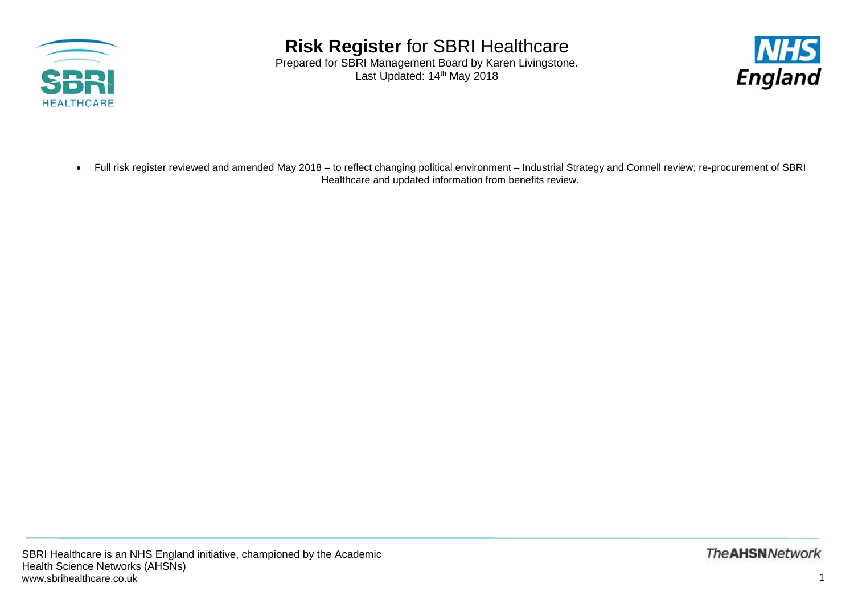

Prepared for SBRI Management Board by Karen Livingstone. Last Updated: 14<sup>th</sup> May 2018



• Full risk register reviewed and amended May 2018 – to reflect changing political environment – Industrial Strategy and Connell review; re-procurement of SBRI Healthcare and updated information from benefits review.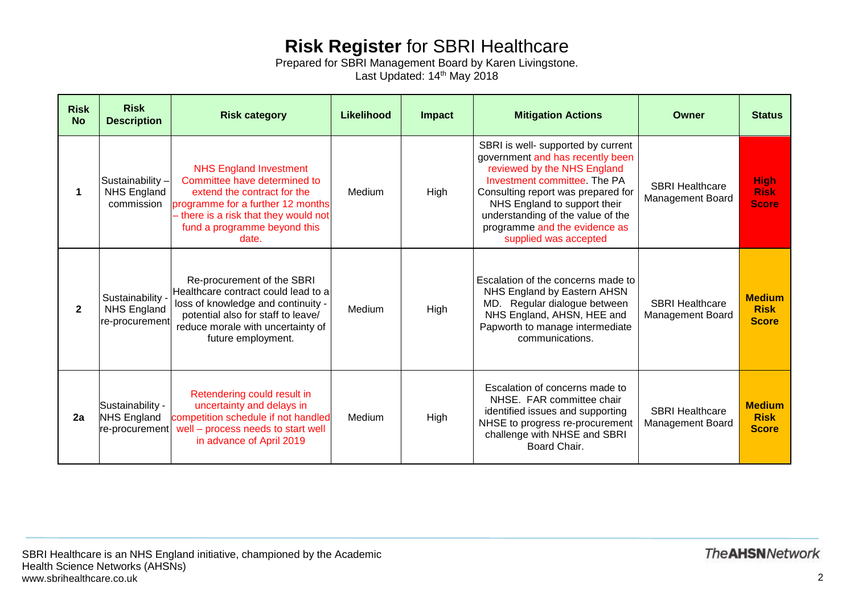Prepared for SBRI Management Board by Karen Livingstone. Last Updated: 14<sup>th</sup> May 2018

| <b>Risk</b><br><b>No</b> | <b>Risk</b><br><b>Description</b>                        | <b>Risk category</b>                                                                                                                                                                                                | Likelihood | Impact      | <b>Mitigation Actions</b>                                                                                                                                                                                                                                                                                  | <b>Owner</b>                                      | <b>Status</b>                                |
|--------------------------|----------------------------------------------------------|---------------------------------------------------------------------------------------------------------------------------------------------------------------------------------------------------------------------|------------|-------------|------------------------------------------------------------------------------------------------------------------------------------------------------------------------------------------------------------------------------------------------------------------------------------------------------------|---------------------------------------------------|----------------------------------------------|
|                          | Sustainability-<br><b>NHS England</b><br>commission      | <b>NHS England Investment</b><br>Committee have determined to<br>extend the contract for the<br>programme for a further 12 months<br>- there is a risk that they would not<br>fund a programme beyond this<br>date. | Medium     | <b>High</b> | SBRI is well- supported by current<br>government and has recently been<br>reviewed by the NHS England<br>Investment committee. The PA<br>Consulting report was prepared for<br>NHS England to support their<br>understanding of the value of the<br>programme and the evidence as<br>supplied was accepted | <b>SBRI Healthcare</b><br>Management Board        | <b>High</b><br><b>Risk</b><br><b>Score</b>   |
| $\mathbf{2}$             | Sustainability<br><b>NHS England</b><br>re-procurement   | Re-procurement of the SBRI<br>Healthcare contract could lead to a<br>loss of knowledge and continuity -<br>potential also for staff to leave/<br>reduce morale with uncertainty of<br>future employment.            | Medium     | High        | Escalation of the concerns made to<br>NHS England by Eastern AHSN<br>MD. Regular dialogue between<br>NHS England, AHSN, HEE and<br>Papworth to manage intermediate<br>communications.                                                                                                                      | <b>SBRI Healthcare</b><br><b>Management Board</b> | <b>Medium</b><br><b>Risk</b><br><b>Score</b> |
| 2a                       | Sustainability -<br><b>NHS England</b><br>re-procurement | Retendering could result in<br>uncertainty and delays in<br>competition schedule if not handled<br>well - process needs to start well<br>in advance of April 2019                                                   | Medium     | High        | Escalation of concerns made to<br>NHSE. FAR committee chair<br>identified issues and supporting<br>NHSE to progress re-procurement<br>challenge with NHSE and SBRI<br>Board Chair.                                                                                                                         | <b>SBRI Healthcare</b><br>Management Board        | <b>Medium</b><br><b>Risk</b><br><b>Score</b> |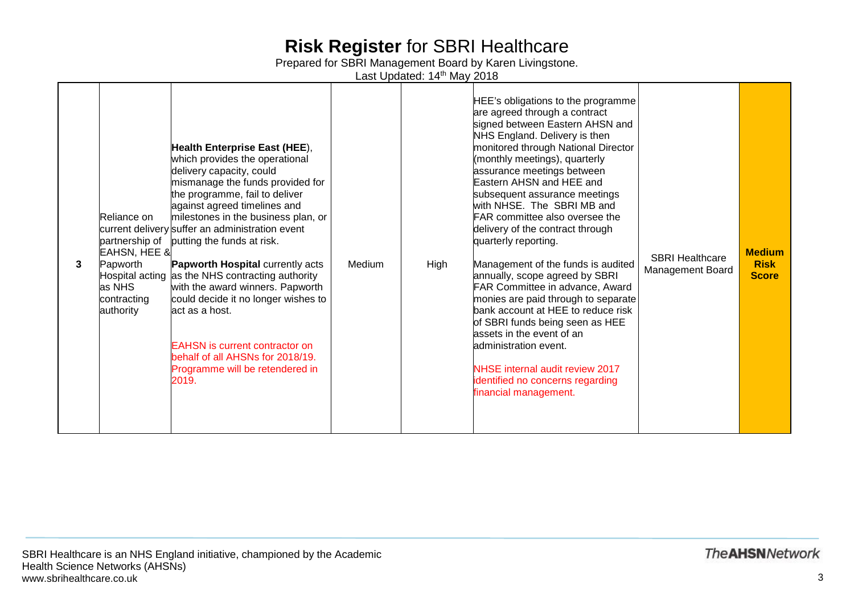Prepared for SBRI Management Board by Karen Livingstone.

Last Updated: 14<sup>th</sup> May 2018

| 3 | Reliance on<br>partnership of<br>EAHSN, HEE &<br>Papworth<br>as NHS<br>contracting<br>authority | Health Enterprise East (HEE),<br>which provides the operational<br>delivery capacity, could<br>mismanage the funds provided for<br>the programme, fail to deliver<br>against agreed timelines and<br>milestones in the business plan, or<br>current delivery suffer an administration event<br>putting the funds at risk.<br>Papworth Hospital currently acts<br>Hospital acting as the NHS contracting authority<br>with the award winners. Papworth<br>could decide it no longer wishes to<br>lact as a host.<br><b>EAHSN</b> is current contractor on<br>behalf of all AHSNs for 2018/19.<br>Programme will be retendered in<br>2019. | Medium | High | HEE's obligations to the programme<br>are agreed through a contract<br>signed between Eastern AHSN and<br>NHS England. Delivery is then<br>monitored through National Director<br>(monthly meetings), quarterly<br>assurance meetings between<br>Eastern AHSN and HEE and<br>subsequent assurance meetings<br>with NHSE. The SBRI MB and<br><b>FAR</b> committee also oversee the<br>delivery of the contract through<br>quarterly reporting.<br>Management of the funds is audited<br>annually, scope agreed by SBRI<br>FAR Committee in advance, Award<br>monies are paid through to separate<br>bank account at HEE to reduce risk<br>of SBRI funds being seen as HEE<br>assets in the event of an<br>ladministration event.<br><b>NHSE</b> internal audit review 2017<br>identified no concerns regarding<br>financial management. | <b>SBRI Healthcare</b><br>Management Board | <b>Medium</b><br><b>Risk</b><br><b>Score</b> |
|---|-------------------------------------------------------------------------------------------------|------------------------------------------------------------------------------------------------------------------------------------------------------------------------------------------------------------------------------------------------------------------------------------------------------------------------------------------------------------------------------------------------------------------------------------------------------------------------------------------------------------------------------------------------------------------------------------------------------------------------------------------|--------|------|----------------------------------------------------------------------------------------------------------------------------------------------------------------------------------------------------------------------------------------------------------------------------------------------------------------------------------------------------------------------------------------------------------------------------------------------------------------------------------------------------------------------------------------------------------------------------------------------------------------------------------------------------------------------------------------------------------------------------------------------------------------------------------------------------------------------------------------|--------------------------------------------|----------------------------------------------|
|---|-------------------------------------------------------------------------------------------------|------------------------------------------------------------------------------------------------------------------------------------------------------------------------------------------------------------------------------------------------------------------------------------------------------------------------------------------------------------------------------------------------------------------------------------------------------------------------------------------------------------------------------------------------------------------------------------------------------------------------------------------|--------|------|----------------------------------------------------------------------------------------------------------------------------------------------------------------------------------------------------------------------------------------------------------------------------------------------------------------------------------------------------------------------------------------------------------------------------------------------------------------------------------------------------------------------------------------------------------------------------------------------------------------------------------------------------------------------------------------------------------------------------------------------------------------------------------------------------------------------------------------|--------------------------------------------|----------------------------------------------|

**The AHSN Network**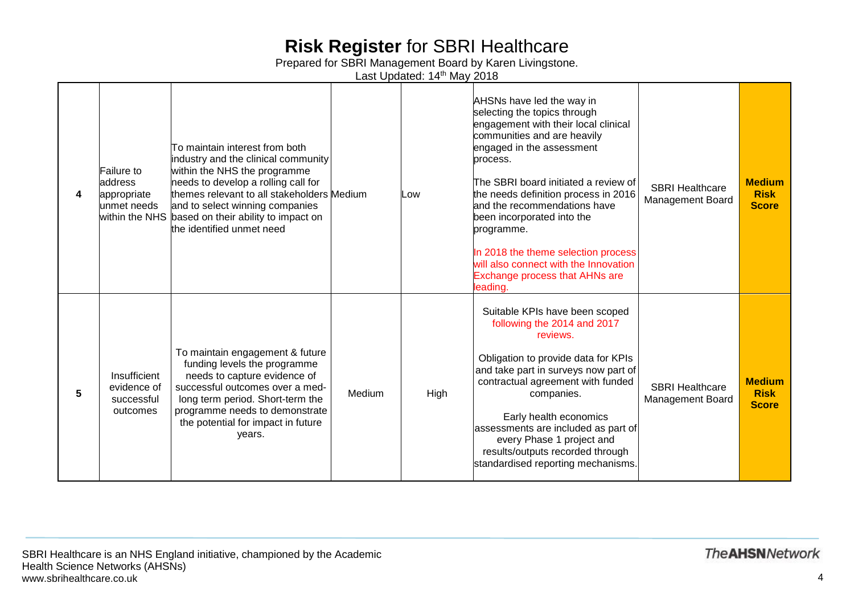Prepared for SBRI Management Board by Karen Livingstone.

Last Updated: 14<sup>th</sup> May 2018

|   | Failure to<br>address<br>appropriate<br>unmet needs   | To maintain interest from both<br>industry and the clinical community<br>within the NHS the programme<br>needs to develop a rolling call for<br>themes relevant to all stakeholders Medium<br>and to select winning companies<br>within the NHS based on their ability to impact on<br>the identified unmet need |        | Low  | AHSNs have led the way in<br>selecting the topics through<br>engagement with their local clinical<br>communities and are heavily<br>engaged in the assessment<br>process.<br>The SBRI board initiated a review of<br>the needs definition process in 2016<br>and the recommendations have<br>been incorporated into the<br>programme.<br>In 2018 the theme selection process<br>will also connect with the Innovation<br><b>Exchange process that AHNs are</b><br>leading. | <b>SBRI Healthcare</b><br><b>Management Board</b> | <b>Medium</b><br><b>Risk</b><br><b>Score</b> |
|---|-------------------------------------------------------|------------------------------------------------------------------------------------------------------------------------------------------------------------------------------------------------------------------------------------------------------------------------------------------------------------------|--------|------|----------------------------------------------------------------------------------------------------------------------------------------------------------------------------------------------------------------------------------------------------------------------------------------------------------------------------------------------------------------------------------------------------------------------------------------------------------------------------|---------------------------------------------------|----------------------------------------------|
| 5 | Insufficient<br>evidence of<br>successful<br>outcomes | To maintain engagement & future<br>funding levels the programme<br>needs to capture evidence of<br>successful outcomes over a med-<br>long term period. Short-term the<br>programme needs to demonstrate<br>the potential for impact in future<br>years.                                                         | Medium | High | Suitable KPIs have been scoped<br>following the 2014 and 2017<br>reviews.<br>Obligation to provide data for KPIs<br>and take part in surveys now part of<br>contractual agreement with funded<br>companies.<br>Early health economics<br>assessments are included as part of<br>every Phase 1 project and<br>results/outputs recorded through<br>standardised reporting mechanisms.                                                                                        | <b>SBRI Healthcare</b><br><b>Management Board</b> | <b>Medium</b><br><b>Risk</b><br><b>Score</b> |